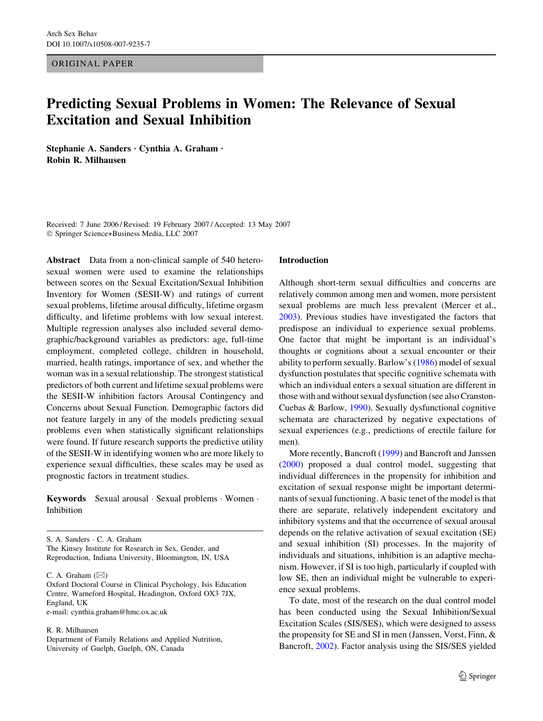ORIGINAL PAPER

# Predicting Sexual Problems in Women: The Relevance of Sexual Excitation and Sexual Inhibition

Stephanie A. Sanders · Cynthia A. Graham · Robin R. Milhausen

Received: 7 June 2006 / Revised: 19 February 2007 / Accepted: 13 May 2007 Springer Science+Business Media, LLC 2007

Abstract Data from a non-clinical sample of 540 heterosexual women were used to examine the relationships between scores on the Sexual Excitation/Sexual Inhibition Inventory for Women (SESII-W) and ratings of current sexual problems, lifetime arousal difficulty, lifetime orgasm difficulty, and lifetime problems with low sexual interest. Multiple regression analyses also included several demographic/background variables as predictors: age, full-time employment, completed college, children in household, married, health ratings, importance of sex, and whether the woman was in a sexual relationship. The strongest statistical predictors of both current and lifetime sexual problems were the SESII-W inhibition factors Arousal Contingency and Concerns about Sexual Function. Demographic factors did not feature largely in any of the models predicting sexual problems even when statistically significant relationships were found. If future research supports the predictive utility of the SESII-W in identifying women who are more likely to experience sexual difficulties, these scales may be used as prognostic factors in treatment studies.

**Keywords** Sexual arousal  $\cdot$  Sexual problems  $\cdot$  Women  $\cdot$ Inhibition

S. A. Sanders · C. A. Graham The Kinsey Institute for Research in Sex, Gender, and Reproduction, Indiana University, Bloomington, IN, USA

C. A. Graham  $(\boxtimes)$ 

Oxford Doctoral Course in Clinical Psychology, Isis Education Centre, Warneford Hospital, Headington, Oxford OX3 7JX, England, UK e-mail: cynthia.graham@hmc.ox.ac.uk

R. R. Milhausen

Department of Family Relations and Applied Nutrition, University of Guelph, Guelph, ON, Canada

### Introduction

Although short-term sexual difficulties and concerns are relatively common among men and women, more persistent sexual problems are much less prevalent (Mercer et al., [2003](#page-10-0)). Previous studies have investigated the factors that predispose an individual to experience sexual problems. One factor that might be important is an individual's thoughts or cognitions about a sexual encounter or their ability to perform sexually. Barlow's ([1986\)](#page-9-0) model of sexual dysfunction postulates that specific cognitive schemata with which an individual enters a sexual situation are different in those with and without sexual dysfunction (see also Cranston-Cuebas & Barlow, [1990](#page-9-0)). Sexually dysfunctional cognitive schemata are characterized by negative expectations of sexual experiences (e.g., predictions of erectile failure for men).

More recently, Bancroft [\(1999](#page-9-0)) and Bancroft and Janssen [\(2000](#page-9-0)) proposed a dual control model, suggesting that individual differences in the propensity for inhibition and excitation of sexual response might be important determinants of sexual functioning. A basic tenet of the model is that there are separate, relatively independent excitatory and inhibitory systems and that the occurrence of sexual arousal depends on the relative activation of sexual excitation (SE) and sexual inhibition (SI) processes. In the majority of individuals and situations, inhibition is an adaptive mechanism. However, if SI is too high, particularly if coupled with low SE, then an individual might be vulnerable to experience sexual problems.

To date, most of the research on the dual control model has been conducted using the Sexual Inhibition/Sexual Excitation Scales (SIS/SES), which were designed to assess the propensity for SE and SI in men (Janssen, Vorst, Finn, & Bancroft, [2002](#page-10-0)). Factor analysis using the SIS/SES yielded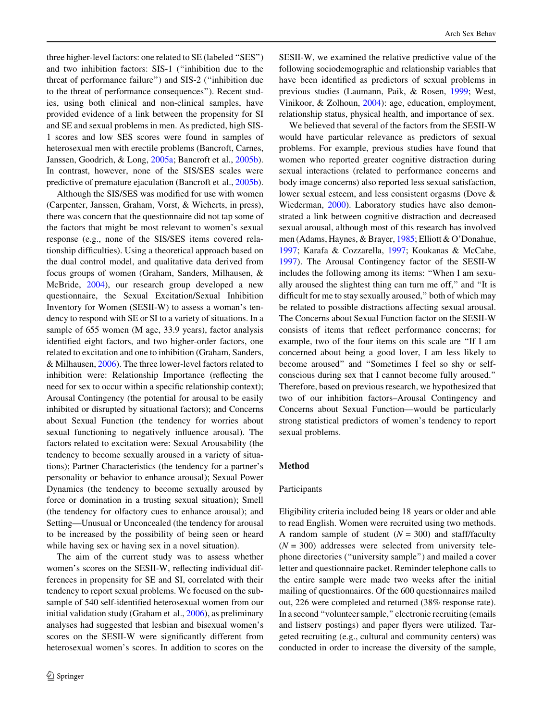three higher-level factors: one related to SE (labeled ''SES'') and two inhibition factors: SIS-1 (''inhibition due to the threat of performance failure'') and SIS-2 (''inhibition due to the threat of performance consequences''). Recent studies, using both clinical and non-clinical samples, have provided evidence of a link between the propensity for SI and SE and sexual problems in men. As predicted, high SIS-1 scores and low SES scores were found in samples of heterosexual men with erectile problems (Bancroft, Carnes, Janssen, Goodrich, & Long, [2005a](#page-9-0); Bancroft et al., [2005b](#page-9-0)). In contrast, however, none of the SIS/SES scales were predictive of premature ejaculation (Bancroft et al., [2005b](#page-9-0)).

Although the SIS/SES was modified for use with women (Carpenter, Janssen, Graham, Vorst, & Wicherts, in press), there was concern that the questionnaire did not tap some of the factors that might be most relevant to women's sexual response (e.g., none of the SIS/SES items covered relationship difficulties). Using a theoretical approach based on the dual control model, and qualitative data derived from focus groups of women (Graham, Sanders, Milhausen, & McBride, [2004](#page-10-0)), our research group developed a new questionnaire, the Sexual Excitation/Sexual Inhibition Inventory for Women (SESII-W) to assess a woman's tendency to respond with SE or SI to a variety of situations. In a sample of 655 women (M age, 33.9 years), factor analysis identified eight factors, and two higher-order factors, one related to excitation and one to inhibition (Graham, Sanders, & Milhausen, [2006\)](#page-10-0). The three lower-level factors related to inhibition were: Relationship Importance (reflecting the need for sex to occur within a specific relationship context); Arousal Contingency (the potential for arousal to be easily inhibited or disrupted by situational factors); and Concerns about Sexual Function (the tendency for worries about sexual functioning to negatively influence arousal). The factors related to excitation were: Sexual Arousability (the tendency to become sexually aroused in a variety of situations); Partner Characteristics (the tendency for a partner's personality or behavior to enhance arousal); Sexual Power Dynamics (the tendency to become sexually aroused by force or domination in a trusting sexual situation); Smell (the tendency for olfactory cues to enhance arousal); and Setting—Unusual or Unconcealed (the tendency for arousal to be increased by the possibility of being seen or heard while having sex or having sex in a novel situation).

The aim of the current study was to assess whether women's scores on the SESII-W, reflecting individual differences in propensity for SE and SI, correlated with their tendency to report sexual problems. We focused on the subsample of 540 self-identified heterosexual women from our initial validation study (Graham et al., [2006](#page-10-0)), as preliminary analyses had suggested that lesbian and bisexual women's scores on the SESII-W were significantly different from heterosexual women's scores. In addition to scores on the SESII-W, we examined the relative predictive value of the following sociodemographic and relationship variables that have been identified as predictors of sexual problems in previous studies (Laumann, Paik, & Rosen, [1999;](#page-10-0) West, Vinikoor, & Zolhoun, [2004](#page-10-0)): age, education, employment, relationship status, physical health, and importance of sex.

We believed that several of the factors from the SESII-W would have particular relevance as predictors of sexual problems. For example, previous studies have found that women who reported greater cognitive distraction during sexual interactions (related to performance concerns and body image concerns) also reported less sexual satisfaction, lower sexual esteem, and less consistent orgasms (Dove & Wiederman, [2000\)](#page-9-0). Laboratory studies have also demonstrated a link between cognitive distraction and decreased sexual arousal, although most of this research has involved men (Adams, Haynes, & Brayer, [1985;](#page-9-0) Elliott & O'Donahue, [1997](#page-10-0); Karafa & Cozzarella, [1997](#page-10-0); Koukanas & McCabe, [1997](#page-10-0)). The Arousal Contingency factor of the SESII-W includes the following among its items: ''When I am sexually aroused the slightest thing can turn me off,'' and ''It is difficult for me to stay sexually aroused,'' both of which may be related to possible distractions affecting sexual arousal. The Concerns about Sexual Function factor on the SESII-W consists of items that reflect performance concerns; for example, two of the four items on this scale are ''If I am concerned about being a good lover, I am less likely to become aroused'' and ''Sometimes I feel so shy or selfconscious during sex that I cannot become fully aroused.'' Therefore, based on previous research, we hypothesized that two of our inhibition factors–Arousal Contingency and Concerns about Sexual Function—would be particularly strong statistical predictors of women's tendency to report sexual problems.

#### Method

#### Participants

Eligibility criteria included being 18 years or older and able to read English. Women were recruited using two methods. A random sample of student  $(N = 300)$  and staff/faculty  $(N = 300)$  addresses were selected from university telephone directories (''university sample'') and mailed a cover letter and questionnaire packet. Reminder telephone calls to the entire sample were made two weeks after the initial mailing of questionnaires. Of the 600 questionnaires mailed out, 226 were completed and returned (38% response rate). In a second ''volunteer sample,'' electronic recruiting (emails and listserv postings) and paper flyers were utilized. Targeted recruiting (e.g., cultural and community centers) was conducted in order to increase the diversity of the sample,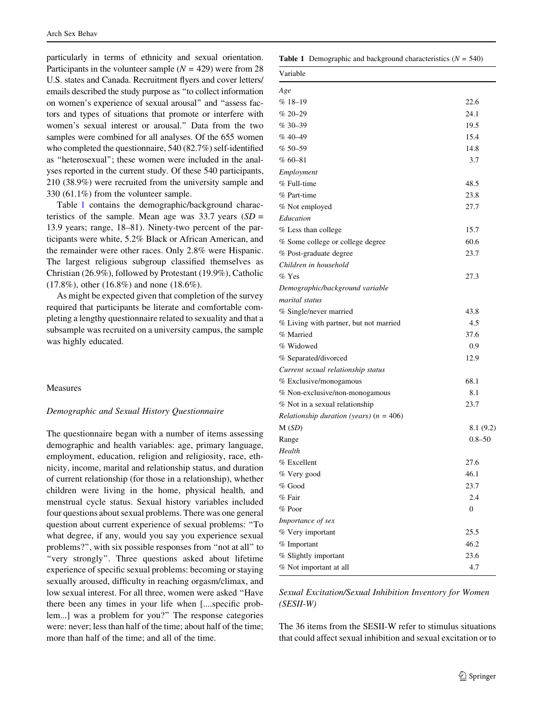particularly in terms of ethnicity and sexual orientation. Participants in the volunteer sample  $(N = 429)$  were from 28 U.S. states and Canada. Recruitment flyers and cover letters/ emails described the study purpose as ''to collect information on women's experience of sexual arousal'' and ''assess factors and types of situations that promote or interfere with women's sexual interest or arousal.'' Data from the two samples were combined for all analyses. Of the 655 women who completed the questionnaire, 540 (82.7%) self-identified as ''heterosexual''; these women were included in the analyses reported in the current study. Of these 540 participants, 210 (38.9%) were recruited from the university sample and 330 (61.1%) from the volunteer sample.

Table 1 contains the demographic/background characteristics of the sample. Mean age was  $33.7$  years  $SD =$ 13.9 years; range, 18–81). Ninety-two percent of the participants were white, 5.2% Black or African American, and the remainder were other races. Only 2.8% were Hispanic. The largest religious subgroup classified themselves as Christian (26.9%), followed by Protestant (19.9%), Catholic (17.8%), other (16.8%) and none (18.6%).

As might be expected given that completion of the survey required that participants be literate and comfortable completing a lengthy questionnaire related to sexuality and that a subsample was recruited on a university campus, the sample was highly educated.

## Measures

## Demographic and Sexual History Questionnaire

The questionnaire began with a number of items assessing demographic and health variables: age, primary language, employment, education, religion and religiosity, race, ethnicity, income, marital and relationship status, and duration of current relationship (for those in a relationship), whether children were living in the home, physical health, and menstrual cycle status. Sexual history variables included four questions about sexual problems. There was one general question about current experience of sexual problems: ''To what degree, if any, would you say you experience sexual problems?'', with six possible responses from ''not at all'' to "very strongly". Three questions asked about lifetime experience of specific sexual problems: becoming or staying sexually aroused, difficulty in reaching orgasm/climax, and low sexual interest. For all three, women were asked ''Have there been any times in your life when [....specific problem...] was a problem for you?'' The response categories were: never; less than half of the time; about half of the time; more than half of the time; and all of the time.

**Table 1** Demographic and background characteristics  $(N = 540)$ 

| Variable                                         |            |
|--------------------------------------------------|------------|
| Age                                              |            |
| $%18-19$                                         | 22.6       |
| $% 20 - 29$                                      | 24.1       |
| $% 30 - 39$                                      | 19.5       |
| $%40-49$                                         | 15.4       |
| $% 50 - 59$                                      | 14.8       |
| $%60-81$                                         | 3.7        |
| Employment                                       |            |
| % Full-time                                      | 48.5       |
| % Part-time                                      | 23.8       |
| % Not employed                                   | 27.7       |
| Education                                        |            |
| % Less than college                              | 15.7       |
| % Some college or college degree                 | 60.6       |
| % Post-graduate degree                           | 23.7       |
| Children in household                            |            |
| $%$ Yes                                          | 27.3       |
| Demographic/background variable                  |            |
| marital status                                   |            |
| % Single/never married                           | 43.8       |
| % Living with partner, but not married           | 4.5        |
| % Married                                        | 37.6       |
| % Widowed                                        | 0.9        |
| % Separated/divorced                             | 12.9       |
| Current sexual relationship status               |            |
| % Exclusive/monogamous                           | 68.1       |
| % Non-exclusive/non-monogamous                   | 8.1        |
| % Not in a sexual relationship                   | 23.7       |
| <i>Relationship duration (years)</i> $(n = 406)$ |            |
| M(SD)                                            | 8.1 (9.2)  |
| Range                                            | $0.8 - 50$ |
| Health                                           |            |
| % Excellent                                      | 27.6       |
| % Very good                                      | 46.1       |
| $%$ Good                                         | 23.7       |
| % Fair                                           | 2.4        |
| $%$ Poor                                         | 0          |
| Importance of sex                                |            |
| % Very important                                 | 25.5       |
| % Important                                      | 46.2       |
| % Slightly important                             | 23.6       |
| % Not important at all                           | 4.7        |

Sexual Excitation/Sexual Inhibition Inventory for Women (SESII-W)

The 36 items from the SESII-W refer to stimulus situations that could affect sexual inhibition and sexual excitation or to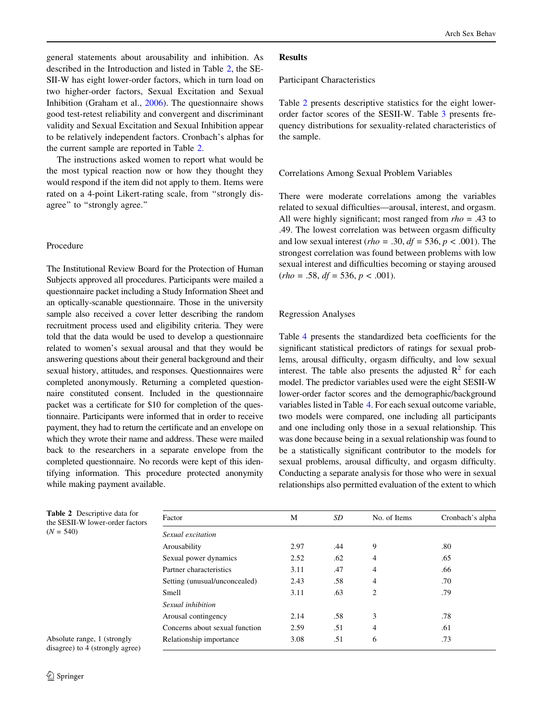general statements about arousability and inhibition. As described in the Introduction and listed in Table 2, the SE-SII-W has eight lower-order factors, which in turn load on two higher-order factors, Sexual Excitation and Sexual Inhibition (Graham et al., [2006\)](#page-10-0). The questionnaire shows good test-retest reliability and convergent and discriminant validity and Sexual Excitation and Sexual Inhibition appear to be relatively independent factors. Cronbach's alphas for the current sample are reported in Table 2.

The instructions asked women to report what would be the most typical reaction now or how they thought they would respond if the item did not apply to them. Items were rated on a 4-point Likert-rating scale, from ''strongly disagree'' to ''strongly agree.''

# Procedure

The Institutional Review Board for the Protection of Human Subjects approved all procedures. Participants were mailed a questionnaire packet including a Study Information Sheet and an optically-scanable questionnaire. Those in the university sample also received a cover letter describing the random recruitment process used and eligibility criteria. They were told that the data would be used to develop a questionnaire related to women's sexual arousal and that they would be answering questions about their general background and their sexual history, attitudes, and responses. Questionnaires were completed anonymously. Returning a completed questionnaire constituted consent. Included in the questionnaire packet was a certificate for \$10 for completion of the questionnaire. Participants were informed that in order to receive payment, they had to return the certificate and an envelope on which they wrote their name and address. These were mailed back to the researchers in a separate envelope from the completed questionnaire. No records were kept of this identifying information. This procedure protected anonymity while making payment available.

|             | <b>Table 2</b> Descriptive data for |
|-------------|-------------------------------------|
|             | the SESII-W lower-order factors     |
| $(N = 540)$ |                                     |

# Results

# Participant Characteristics

Table 2 presents descriptive statistics for the eight lowerorder factor scores of the SESII-W. Table 3 presents frequency distributions for sexuality-related characteristics of the sample.

Correlations Among Sexual Problem Variables

There were moderate correlations among the variables related to sexual difficulties—arousal, interest, and orgasm. All were highly significant; most ranged from  $rho = .43$  to .49. The lowest correlation was between orgasm difficulty and low sexual interest (*rho* = .30,  $df = 536$ ,  $p < .001$ ). The strongest correlation was found between problems with low sexual interest and difficulties becoming or staying aroused  $(rho = .58, df = 536, p < .001).$ 

#### Regression Analyses

Table 4 presents the standardized beta coefficients for the significant statistical predictors of ratings for sexual problems, arousal difficulty, orgasm difficulty, and low sexual interest. The table also presents the adjusted  $R^2$  for each model. The predictor variables used were the eight SESII-W lower-order factor scores and the demographic/background variables listed in Table 4. For each sexual outcome variable, two models were compared, one including all participants and one including only those in a sexual relationship. This was done because being in a sexual relationship was found to be a statistically significant contributor to the models for sexual problems, arousal difficulty, and orgasm difficulty. Conducting a separate analysis for those who were in sexual relationships also permitted evaluation of the extent to which

| Factor                         | М    | SD  | No. of Items   | Cronbach's alpha |
|--------------------------------|------|-----|----------------|------------------|
| Sexual excitation              |      |     |                |                  |
| Arousability                   | 2.97 | .44 | 9              | .80              |
| Sexual power dynamics          | 2.52 | .62 | 4              | .65              |
| Partner characteristics        | 3.11 | .47 | 4              | .66              |
| Setting (unusual/unconcealed)  | 2.43 | .58 | 4              | .70              |
| Smell                          | 3.11 | .63 | $\mathfrak{2}$ | .79              |
| Sexual inhibition              |      |     |                |                  |
| Arousal contingency            | 2.14 | .58 | 3              | .78              |
| Concerns about sexual function | 2.59 | .51 | 4              | .61              |
| Relationship importance        | 3.08 | .51 | 6              | .73              |
|                                |      |     |                |                  |

Absolute range, 1 (strongly disagree) to 4 (strongly agree)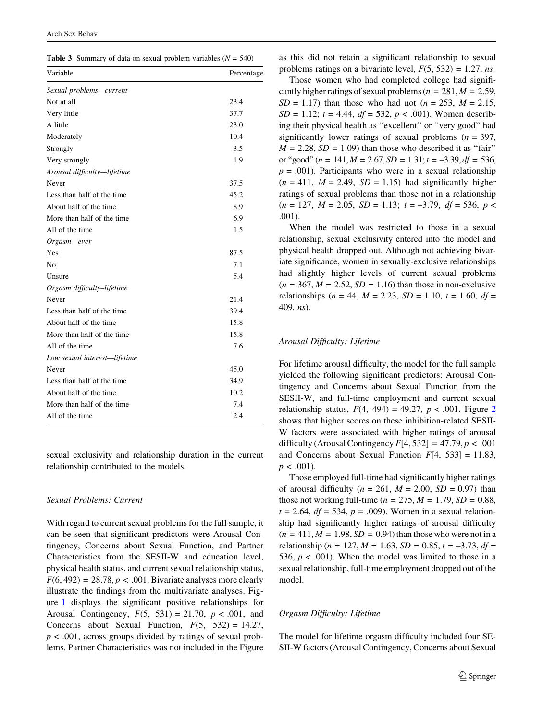**Table 3** Summary of data on sexual problem variables  $(N = 540)$ 

| Variable                     | Percentage |
|------------------------------|------------|
| Sexual problems-current      |            |
| Not at all                   | 23.4       |
| Very little                  | 37.7       |
| A little                     | 23.0       |
| Moderately                   | 10.4       |
| Strongly                     | 3.5        |
| Very strongly                | 1.9        |
| Arousal difficulty-lifetime  |            |
| Never                        | 37.5       |
| Less than half of the time   | 45.2       |
| About half of the time       | 8.9        |
| More than half of the time   | 6.9        |
| All of the time              | 1.5        |
| Orgasm-ever                  |            |
| Yes                          | 87.5       |
| No                           | 7.1        |
| Unsure                       | 5.4        |
| Orgasm difficulty-lifetime   |            |
| Never                        | 21.4       |
| Less than half of the time   | 39.4       |
| About half of the time       | 15.8       |
| More than half of the time   | 15.8       |
| All of the time              | 7.6        |
| Low sexual interest-lifetime |            |
| Never                        | 45.0       |
| Less than half of the time   | 34.9       |
| About half of the time       | 10.2       |
| More than half of the time   | 7.4        |
| All of the time              | 2.4        |

sexual exclusivity and relationship duration in the current relationship contributed to the models.

### Sexual Problems: Current

With regard to current sexual problems for the full sample, it can be seen that significant predictors were Arousal Contingency, Concerns about Sexual Function, and Partner Characteristics from the SESII-W and education level, physical health status, and current sexual relationship status,  $F(6, 492) = 28.78, p < .001$ . Bivariate analyses more clearly illustrate the findings from the multivariate analyses. Figure [1](#page-5-0) displays the significant positive relationships for Arousal Contingency,  $F(5, 531) = 21.70, p < .001$ , and Concerns about Sexual Function,  $F(5, 532) = 14.27$ ,  $p < .001$ , across groups divided by ratings of sexual problems. Partner Characteristics was not included in the Figure

as this did not retain a significant relationship to sexual problems ratings on a bivariate level,  $F(5, 532) = 1.27$ , ns.

Those women who had completed college had significantly higher ratings of sexual problems ( $n = 281, M = 2.59$ )  $SD = 1.17$ ) than those who had not (n = 253, M = 2.15,  $SD = 1.12$ ;  $t = 4.44$ ,  $df = 532$ ,  $p < .001$ ). Women describing their physical health as ''excellent'' or ''very good'' had significantly lower ratings of sexual problems ( $n = 397$ ,  $M = 2.28$ ,  $SD = 1.09$ ) than those who described it as "fair" or "good" ( $n = 141, M = 2.67, SD = 1.31; t = -3.39, df = 536$ ,  $p = .001$ ). Participants who were in a sexual relationship  $(n = 411, M = 2.49, SD = 1.15)$  had significantly higher ratings of sexual problems than those not in a relationship  $(n = 127, M = 2.05, SD = 1.13; t = -3.79, df = 536, p <$ .001).

When the model was restricted to those in a sexual relationship, sexual exclusivity entered into the model and physical health dropped out. Although not achieving bivariate significance, women in sexually-exclusive relationships had slightly higher levels of current sexual problems  $(n = 367, M = 2.52, SD = 1.16)$  than those in non-exclusive relationships ( $n = 44$ ,  $M = 2.23$ ,  $SD = 1.10$ ,  $t = 1.60$ ,  $df =$ 409, ns).

# Arousal Difficulty: Lifetime

For lifetime arousal difficulty, the model for the full sample yielded the following significant predictors: Arousal Contingency and Concerns about Sexual Function from the SESII-W, and full-time employment and current sexual relationship status,  $F(4, 494) = 49.27$  $F(4, 494) = 49.27$  $F(4, 494) = 49.27$ ,  $p < .001$ . Figure 2 shows that higher scores on these inhibition-related SESII-W factors were associated with higher ratings of arousal difficulty (Arousal Contingency  $F[4, 532] = 47.79, p < .001$ and Concerns about Sexual Function  $F[4, 533] = 11.83$ ,  $p < .001$ ).

Those employed full-time had significantly higher ratings of arousal difficulty ( $n = 261$ ,  $M = 2.00$ ,  $SD = 0.97$ ) than those not working full-time ( $n = 275$ ,  $M = 1.79$ ,  $SD = 0.88$ ,  $t = 2.64$ ,  $df = 534$ ,  $p = .009$ ). Women in a sexual relationship had significantly higher ratings of arousal difficulty  $(n = 411, M = 1.98, SD = 0.94)$  than those who were not in a relationship ( $n = 127$ ,  $M = 1.63$ ,  $SD = 0.85$ ,  $t = -3.73$ ,  $df =$ 536,  $p < .001$ ). When the model was limited to those in a sexual relationship, full-time employment dropped out of the model.

#### Orgasm Difficulty: Lifetime

The model for lifetime orgasm difficulty included four SE-SII-W factors (Arousal Contingency, Concerns about Sexual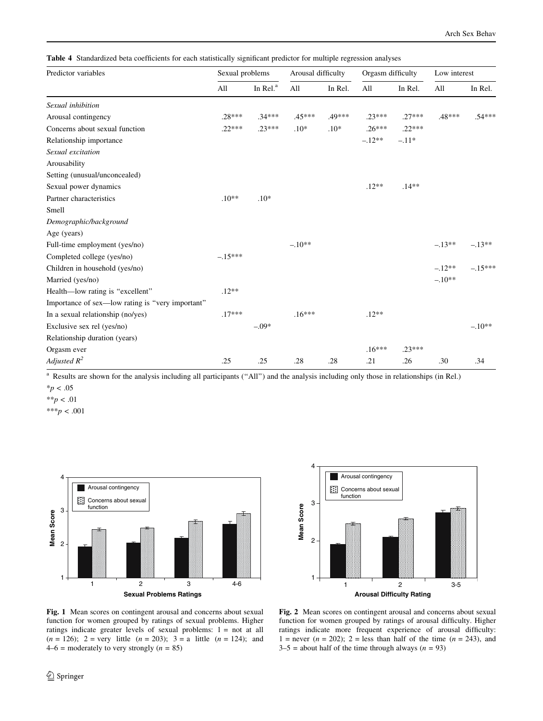<span id="page-5-0"></span>Table 4 Standardized beta coefficients for each statistically significant predictor for multiple regression analyses

| Predictor variables                              | Sexual problems |                      | Arousal difficulty |         | Orgasm difficulty |          | Low interest |           |
|--------------------------------------------------|-----------------|----------------------|--------------------|---------|-------------------|----------|--------------|-----------|
|                                                  | All             | In Rel. <sup>a</sup> | All                | In Rel. | All               | In Rel.  | All          | In Rel.   |
| Sexual inhibition                                |                 |                      |                    |         |                   |          |              |           |
| Arousal contingency                              | $.28***$        | $.34***$             | $.45***$           | .49***  | $.23***$          | $.27***$ | $.48***$     | $.54***$  |
| Concerns about sexual function                   | $.22***$        | $.23***$             | $.10*$             | $.10*$  | $.26***$          | $.22***$ |              |           |
| Relationship importance                          |                 |                      |                    |         | $-.12**$          | $-.11*$  |              |           |
| Sexual excitation                                |                 |                      |                    |         |                   |          |              |           |
| Arousability                                     |                 |                      |                    |         |                   |          |              |           |
| Setting (unusual/unconcealed)                    |                 |                      |                    |         |                   |          |              |           |
| Sexual power dynamics                            |                 |                      |                    |         | $.12**$           | $.14**$  |              |           |
| Partner characteristics                          | $.10**$         | $.10*$               |                    |         |                   |          |              |           |
| Smell                                            |                 |                      |                    |         |                   |          |              |           |
| Demographic/background                           |                 |                      |                    |         |                   |          |              |           |
| Age (years)                                      |                 |                      |                    |         |                   |          |              |           |
| Full-time employment (yes/no)                    |                 |                      | $-.10**$           |         |                   |          | $-13**$      | $-.13**$  |
| Completed college (yes/no)                       | $-.15***$       |                      |                    |         |                   |          |              |           |
| Children in household (yes/no)                   |                 |                      |                    |         |                   |          | $-.12**$     | $-.15***$ |
| Married (yes/no)                                 |                 |                      |                    |         |                   |          | $-.10**$     |           |
| Health-low rating is "excellent"                 | $.12**$         |                      |                    |         |                   |          |              |           |
| Importance of sex-low rating is "very important" |                 |                      |                    |         |                   |          |              |           |
| In a sexual relationship (no/yes)                | $.17***$        |                      | $.16***$           |         | $.12**$           |          |              |           |
| Exclusive sex rel (yes/no)                       |                 | $-.09*$              |                    |         |                   |          |              | $-.10**$  |
| Relationship duration (years)                    |                 |                      |                    |         |                   |          |              |           |
| Orgasm ever                                      |                 |                      |                    |         | $.16***$          | $.23***$ |              |           |
| Adjusted $R^2$                                   | .25             | .25                  | .28                | .28     | .21               | .26      | .30          | .34       |
|                                                  |                 |                      |                    |         |                   |          |              |           |

<sup>a</sup> Results are shown for the analysis including all participants ("All") and the analysis including only those in relationships (in Rel.)

 $*p < .05$ 

 $* p < .01$ 

 $***p < .001$ 





Fig. 1 Mean scores on contingent arousal and concerns about sexual function for women grouped by ratings of sexual problems. Higher ratings indicate greater levels of sexual problems: 1 = not at all  $(n = 126)$ ; 2 = very little  $(n = 203)$ ; 3 = a little  $(n = 124)$ ; and  $4-6$  = moderately to very strongly  $(n = 85)$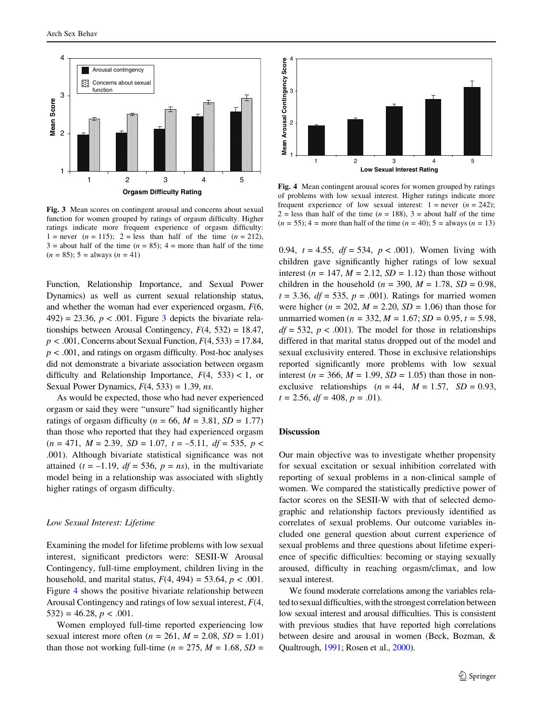

Fig. 3 Mean scores on contingent arousal and concerns about sexual function for women grouped by ratings of orgasm difficulty. Higher ratings indicate more frequent experience of orgasm difficulty: 1 = never  $(n = 115)$ ; 2 = less than half of the time  $(n = 212)$ ,  $3 =$  about half of the time  $(n = 85)$ ;  $4 =$  more than half of the time  $(n = 85); 5 = \text{always} (n = 41)$ 

Function, Relationship Importance, and Sexual Power Dynamics) as well as current sexual relationship status, and whether the woman had ever experienced orgasm,  $F(6, 6)$  $492$ ) = 23.36, p < .001. Figure 3 depicts the bivariate relationships between Arousal Contingency,  $F(4, 532) = 18.47$ ,  $p < .001$ , Concerns about Sexual Function,  $F(4, 533) = 17.84$ ,  $p < .001$ , and ratings on orgasm difficulty. Post-hoc analyses did not demonstrate a bivariate association between orgasm difficulty and Relationship Importance,  $F(4, 533) < 1$ , or Sexual Power Dynamics,  $F(4, 533) = 1.39$ , ns.

As would be expected, those who had never experienced orgasm or said they were ''unsure'' had significantly higher ratings of orgasm difficulty ( $n = 66$ ,  $M = 3.81$ ,  $SD = 1.77$ ) than those who reported that they had experienced orgasm  $(n = 471, M = 2.39, SD = 1.07, t = -5.11, df = 535, p <$ .001). Although bivariate statistical significance was not attained ( $t = -1.19$ ,  $df = 536$ ,  $p = ns$ ), in the multivariate model being in a relationship was associated with slightly higher ratings of orgasm difficulty.

#### Low Sexual Interest: Lifetime

Examining the model for lifetime problems with low sexual interest, significant predictors were: SESII-W Arousal Contingency, full-time employment, children living in the household, and marital status,  $F(4, 494) = 53.64$ ,  $p < .001$ . Figure 4 shows the positive bivariate relationship between Arousal Contingency and ratings of low sexual interest, F(4,  $532$ ) = 46.28,  $p < .001$ .

Women employed full-time reported experiencing low sexual interest more often ( $n = 261$ ,  $M = 2.08$ ,  $SD = 1.01$ ) than those not working full-time ( $n = 275$ ,  $M = 1.68$ ,  $SD =$ 



Fig. 4 Mean contingent arousal scores for women grouped by ratings of problems with low sexual interest. Higher ratings indicate more frequent experience of low sexual interest:  $1 =$  never  $(n = 242)$ ;  $2 =$  less than half of the time ( $n = 188$ ),  $3 =$  about half of the time  $(n = 55)$ ; 4 = more than half of the time  $(n = 40)$ ; 5 = always  $(n = 13)$ 

0.94,  $t = 4.55$ ,  $df = 534$ ,  $p < .001$ ). Women living with children gave significantly higher ratings of low sexual interest ( $n = 147$ ,  $M = 2.12$ ,  $SD = 1.12$ ) than those without children in the household ( $n = 390$ ,  $M = 1.78$ ,  $SD = 0.98$ ,  $t = 3.36$ ,  $df = 535$ ,  $p = .001$ ). Ratings for married women were higher ( $n = 202$ ,  $M = 2.20$ ,  $SD = 1.06$ ) than those for unmarried women ( $n = 332$ ,  $M = 1.67$ ;  $SD = 0.95$ ,  $t = 5.98$ ,  $df = 532$ ,  $p < .001$ ). The model for those in relationships differed in that marital status dropped out of the model and sexual exclusivity entered. Those in exclusive relationships reported significantly more problems with low sexual interest ( $n = 366$ ,  $M = 1.99$ ,  $SD = 1.05$ ) than those in nonexclusive relationships  $(n = 44, M = 1.57, SD = 0.93,$  $t = 2.56$ ,  $df = 408$ ,  $p = .01$ ).

## Discussion

Our main objective was to investigate whether propensity for sexual excitation or sexual inhibition correlated with reporting of sexual problems in a non-clinical sample of women. We compared the statistically predictive power of factor scores on the SESII-W with that of selected demographic and relationship factors previously identified as correlates of sexual problems. Our outcome variables included one general question about current experience of sexual problems and three questions about lifetime experience of specific difficulties: becoming or staying sexually aroused, difficulty in reaching orgasm/climax, and low sexual interest.

We found moderate correlations among the variables related to sexual difficulties, with the strongest correlation between low sexual interest and arousal difficulties. This is consistent with previous studies that have reported high correlations between desire and arousal in women (Beck, Bozman, & Qualtrough, [1991](#page-9-0); Rosen et al., [2000](#page-10-0)).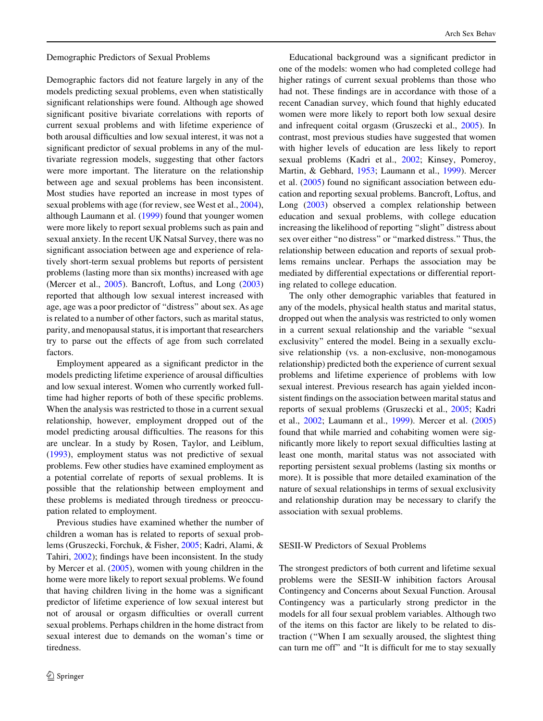#### Demographic Predictors of Sexual Problems

Demographic factors did not feature largely in any of the models predicting sexual problems, even when statistically significant relationships were found. Although age showed significant positive bivariate correlations with reports of current sexual problems and with lifetime experience of both arousal difficulties and low sexual interest, it was not a significant predictor of sexual problems in any of the multivariate regression models, suggesting that other factors were more important. The literature on the relationship between age and sexual problems has been inconsistent. Most studies have reported an increase in most types of sexual problems with age (for review, see West et al., [2004](#page-10-0)), although Laumann et al. [\(1999](#page-10-0)) found that younger women were more likely to report sexual problems such as pain and sexual anxiety. In the recent UK Natsal Survey, there was no significant association between age and experience of relatively short-term sexual problems but reports of persistent problems (lasting more than six months) increased with age (Mercer et al., [2005](#page-10-0)). Bancroft, Loftus, and Long ([2003\)](#page-9-0) reported that although low sexual interest increased with age, age was a poor predictor of ''distress'' about sex. As age is related to a number of other factors, such as marital status, parity, and menopausal status, it is important that researchers try to parse out the effects of age from such correlated factors.

Employment appeared as a significant predictor in the models predicting lifetime experience of arousal difficulties and low sexual interest. Women who currently worked fulltime had higher reports of both of these specific problems. When the analysis was restricted to those in a current sexual relationship, however, employment dropped out of the model predicting arousal difficulties. The reasons for this are unclear. In a study by Rosen, Taylor, and Leiblum, [\(1993](#page-10-0)), employment status was not predictive of sexual problems. Few other studies have examined employment as a potential correlate of reports of sexual problems. It is possible that the relationship between employment and these problems is mediated through tiredness or preoccupation related to employment.

Previous studies have examined whether the number of children a woman has is related to reports of sexual problems (Gruszecki, Forchuk, & Fisher, [2005;](#page-10-0) Kadri, Alami, & Tahiri, [2002\)](#page-10-0); findings have been inconsistent. In the study by Mercer et al. ([2005\)](#page-10-0), women with young children in the home were more likely to report sexual problems. We found that having children living in the home was a significant predictor of lifetime experience of low sexual interest but not of arousal or orgasm difficulties or overall current sexual problems. Perhaps children in the home distract from sexual interest due to demands on the woman's time or tiredness.

Educational background was a significant predictor in one of the models: women who had completed college had higher ratings of current sexual problems than those who had not. These findings are in accordance with those of a recent Canadian survey, which found that highly educated women were more likely to report both low sexual desire and infrequent coital orgasm (Gruszecki et al., [2005\)](#page-10-0). In contrast, most previous studies have suggested that women with higher levels of education are less likely to report sexual problems (Kadri et al., [2002;](#page-10-0) Kinsey, Pomeroy, Martin, & Gebhard, [1953](#page-10-0); Laumann et al., [1999\)](#page-10-0). Mercer et al. ([2005\)](#page-10-0) found no significant association between education and reporting sexual problems. Bancroft, Loftus, and Long [\(2003](#page-9-0)) observed a complex relationship between education and sexual problems, with college education increasing the likelihood of reporting ''slight'' distress about sex over either "no distress" or "marked distress." Thus, the relationship between education and reports of sexual problems remains unclear. Perhaps the association may be mediated by differential expectations or differential reporting related to college education.

The only other demographic variables that featured in any of the models, physical health status and marital status, dropped out when the analysis was restricted to only women in a current sexual relationship and the variable ''sexual exclusivity'' entered the model. Being in a sexually exclusive relationship (vs. a non-exclusive, non-monogamous relationship) predicted both the experience of current sexual problems and lifetime experience of problems with low sexual interest. Previous research has again yielded inconsistent findings on the association between marital status and reports of sexual problems (Gruszecki et al., [2005;](#page-10-0) Kadri et al., [2002](#page-10-0); Laumann et al., [1999\)](#page-10-0). Mercer et al. ([2005\)](#page-10-0) found that while married and cohabiting women were significantly more likely to report sexual difficulties lasting at least one month, marital status was not associated with reporting persistent sexual problems (lasting six months or more). It is possible that more detailed examination of the nature of sexual relationships in terms of sexual exclusivity and relationship duration may be necessary to clarify the association with sexual problems.

# SESII-W Predictors of Sexual Problems

The strongest predictors of both current and lifetime sexual problems were the SESII-W inhibition factors Arousal Contingency and Concerns about Sexual Function. Arousal Contingency was a particularly strong predictor in the models for all four sexual problem variables. Although two of the items on this factor are likely to be related to distraction (''When I am sexually aroused, the slightest thing can turn me off'' and ''It is difficult for me to stay sexually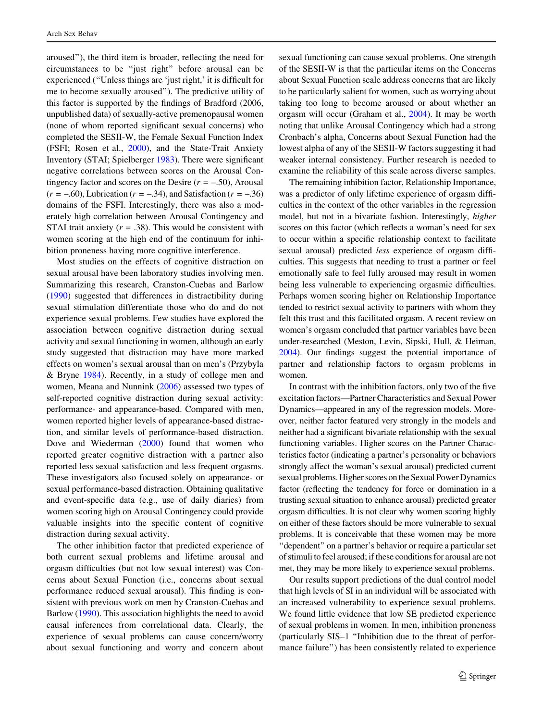aroused''), the third item is broader, reflecting the need for circumstances to be ''just right'' before arousal can be experienced (''Unless things are 'just right,' it is difficult for me to become sexually aroused''). The predictive utility of this factor is supported by the findings of Bradford (2006, unpublished data) of sexually-active premenopausal women (none of whom reported significant sexual concerns) who completed the SESII-W, the Female Sexual Function Index (FSFI; Rosen et al., [2000](#page-10-0)), and the State-Trait Anxiety Inventory (STAI; Spielberger [1983\)](#page-10-0). There were significant negative correlations between scores on the Arousal Contingency factor and scores on the Desire  $(r = -.50)$ , Arousal  $(r = -.60)$ , Lubrication  $(r = -.34)$ , and Satisfaction  $(r = -.36)$ domains of the FSFI. Interestingly, there was also a moderately high correlation between Arousal Contingency and STAI trait anxiety  $(r = .38)$ . This would be consistent with women scoring at the high end of the continuum for inhibition proneness having more cognitive interference.

Most studies on the effects of cognitive distraction on sexual arousal have been laboratory studies involving men. Summarizing this research, Cranston-Cuebas and Barlow [\(1990](#page-9-0)) suggested that differences in distractibility during sexual stimulation differentiate those who do and do not experience sexual problems. Few studies have explored the association between cognitive distraction during sexual activity and sexual functioning in women, although an early study suggested that distraction may have more marked effects on women's sexual arousal than on men's (Przybyla & Bryne [1984](#page-10-0)). Recently, in a study of college men and women, Meana and Nunnink [\(2006](#page-10-0)) assessed two types of self-reported cognitive distraction during sexual activity: performance- and appearance-based. Compared with men, women reported higher levels of appearance-based distraction, and similar levels of performance-based distraction. Dove and Wiederman ([2000\)](#page-9-0) found that women who reported greater cognitive distraction with a partner also reported less sexual satisfaction and less frequent orgasms. These investigators also focused solely on appearance- or sexual performance-based distraction. Obtaining qualitative and event-specific data (e.g., use of daily diaries) from women scoring high on Arousal Contingency could provide valuable insights into the specific content of cognitive distraction during sexual activity.

The other inhibition factor that predicted experience of both current sexual problems and lifetime arousal and orgasm difficulties (but not low sexual interest) was Concerns about Sexual Function (i.e., concerns about sexual performance reduced sexual arousal). This finding is consistent with previous work on men by Cranston-Cuebas and Barlow ([1990\)](#page-9-0). This association highlights the need to avoid causal inferences from correlational data. Clearly, the experience of sexual problems can cause concern/worry about sexual functioning and worry and concern about

sexual functioning can cause sexual problems. One strength of the SESII-W is that the particular items on the Concerns about Sexual Function scale address concerns that are likely to be particularly salient for women, such as worrying about taking too long to become aroused or about whether an orgasm will occur (Graham et al., [2004\)](#page-10-0). It may be worth noting that unlike Arousal Contingency which had a strong Cronbach's alpha, Concerns about Sexual Function had the lowest alpha of any of the SESII-W factors suggesting it had weaker internal consistency. Further research is needed to examine the reliability of this scale across diverse samples.

The remaining inhibition factor, Relationship Importance, was a predictor of only lifetime experience of orgasm difficulties in the context of the other variables in the regression model, but not in a bivariate fashion. Interestingly, higher scores on this factor (which reflects a woman's need for sex to occur within a specific relationship context to facilitate sexual arousal) predicted less experience of orgasm difficulties. This suggests that needing to trust a partner or feel emotionally safe to feel fully aroused may result in women being less vulnerable to experiencing orgasmic difficulties. Perhaps women scoring higher on Relationship Importance tended to restrict sexual activity to partners with whom they felt this trust and this facilitated orgasm. A recent review on women's orgasm concluded that partner variables have been under-researched (Meston, Levin, Sipski, Hull, & Heiman, [2004\)](#page-10-0). Our findings suggest the potential importance of partner and relationship factors to orgasm problems in women.

In contrast with the inhibition factors, only two of the five excitation factors—Partner Characteristics and Sexual Power Dynamics—appeared in any of the regression models. Moreover, neither factor featured very strongly in the models and neither had a significant bivariate relationship with the sexual functioning variables. Higher scores on the Partner Characteristics factor (indicating a partner's personality or behaviors strongly affect the woman's sexual arousal) predicted current sexual problems. Higher scores on the Sexual Power Dynamics factor (reflecting the tendency for force or domination in a trusting sexual situation to enhance arousal) predicted greater orgasm difficulties. It is not clear why women scoring highly on either of these factors should be more vulnerable to sexual problems. It is conceivable that these women may be more "dependent" on a partner's behavior or require a particular set of stimuli to feel aroused; if these conditions for arousal are not met, they may be more likely to experience sexual problems.

Our results support predictions of the dual control model that high levels of SI in an individual will be associated with an increased vulnerability to experience sexual problems. We found little evidence that low SE predicted experience of sexual problems in women. In men, inhibition proneness (particularly SIS–1 ''Inhibition due to the threat of performance failure'') has been consistently related to experience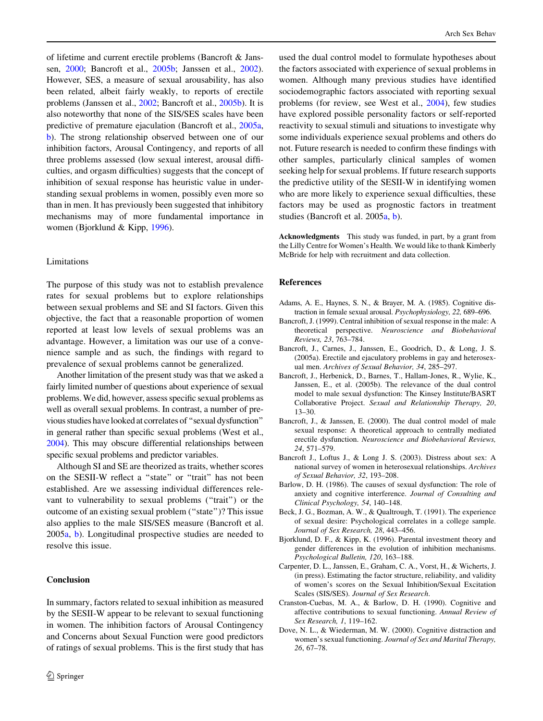<span id="page-9-0"></span>of lifetime and current erectile problems (Bancroft & Janssen, 2000; Bancroft et al., 2005b; Janssen et al., [2002](#page-10-0)). However, SES, a measure of sexual arousability, has also been related, albeit fairly weakly, to reports of erectile problems (Janssen et al., [2002](#page-10-0); Bancroft et al., 2005b). It is also noteworthy that none of the SIS/SES scales have been predictive of premature ejaculation (Bancroft et al., 2005a, b). The strong relationship observed between one of our inhibition factors, Arousal Contingency, and reports of all three problems assessed (low sexual interest, arousal difficulties, and orgasm difficulties) suggests that the concept of inhibition of sexual response has heuristic value in understanding sexual problems in women, possibly even more so than in men. It has previously been suggested that inhibitory mechanisms may of more fundamental importance in women (Bjorklund & Kipp, 1996).

#### Limitations

The purpose of this study was not to establish prevalence rates for sexual problems but to explore relationships between sexual problems and SE and SI factors. Given this objective, the fact that a reasonable proportion of women reported at least low levels of sexual problems was an advantage. However, a limitation was our use of a convenience sample and as such, the findings with regard to prevalence of sexual problems cannot be generalized.

Another limitation of the present study was that we asked a fairly limited number of questions about experience of sexual problems. We did, however, assess specific sexual problems as well as overall sexual problems. In contrast, a number of previous studies have looked at correlates of ''sexual dysfunction'' in general rather than specific sexual problems (West et al., [2004](#page-10-0)). This may obscure differential relationships between specific sexual problems and predictor variables.

Although SI and SE are theorized as traits, whether scores on the SESII-W reflect a ''state'' or ''trait'' has not been established. Are we assessing individual differences relevant to vulnerability to sexual problems ("trait") or the outcome of an existing sexual problem (''state'')? This issue also applies to the male SIS/SES measure (Bancroft et al. 2005a, b). Longitudinal prospective studies are needed to resolve this issue.

# Conclusion

In summary, factors related to sexual inhibition as measured by the SESII-W appear to be relevant to sexual functioning in women. The inhibition factors of Arousal Contingency and Concerns about Sexual Function were good predictors of ratings of sexual problems. This is the first study that has

used the dual control model to formulate hypotheses about the factors associated with experience of sexual problems in women. Although many previous studies have identified sociodemographic factors associated with reporting sexual problems (for review, see West et al., [2004\)](#page-10-0), few studies have explored possible personality factors or self-reported reactivity to sexual stimuli and situations to investigate why some individuals experience sexual problems and others do not. Future research is needed to confirm these findings with other samples, particularly clinical samples of women seeking help for sexual problems. If future research supports the predictive utility of the SESII-W in identifying women who are more likely to experience sexual difficulties, these factors may be used as prognostic factors in treatment studies (Bancroft et al. 2005a, b).

Acknowledgments This study was funded, in part, by a grant from the Lilly Centre for Women's Health. We would like to thank Kimberly McBride for help with recruitment and data collection.

#### **References**

- Adams, A. E., Haynes, S. N., & Brayer, M. A. (1985). Cognitive distraction in female sexual arousal. Psychophysiology, 22, 689–696.
- Bancroft, J. (1999). Central inhibition of sexual response in the male: A theoretical perspective. Neuroscience and Biobehavioral Reviews, 23, 763–784.
- Bancroft, J., Carnes, J., Janssen, E., Goodrich, D., & Long, J. S. (2005a). Erectile and ejaculatory problems in gay and heterosexual men. Archives of Sexual Behavior, 34, 285–297.
- Bancroft, J., Herbenick, D., Barnes, T., Hallam-Jones, R., Wylie, K., Janssen, E., et al. (2005b). The relevance of the dual control model to male sexual dysfunction: The Kinsey Institute/BASRT Collaborative Project. Sexual and Relationship Therapy, 20, 13–30.
- Bancroft, J., & Janssen, E. (2000). The dual control model of male sexual response: A theoretical approach to centrally mediated erectile dysfunction. Neuroscience and Biobehavioral Reviews, 24, 571–579.
- Bancroft J., Loftus J., & Long J. S. (2003). Distress about sex: A national survey of women in heterosexual relationships. Archives of Sexual Behavior, 32, 193–208.
- Barlow, D. H. (1986). The causes of sexual dysfunction: The role of anxiety and cognitive interference. Journal of Consulting and Clinical Psychology, 54, 140–148.
- Beck, J. G., Bozman, A. W., & Qualtrough, T. (1991). The experience of sexual desire: Psychological correlates in a college sample. Journal of Sex Research, 28, 443–456.
- Bjorklund, D. F., & Kipp, K. (1996). Parental investment theory and gender differences in the evolution of inhibition mechanisms. Psychological Bulletin, 120, 163–188.
- Carpenter, D. L., Janssen, E., Graham, C. A., Vorst, H., & Wicherts, J. (in press). Estimating the factor structure, reliability, and validity of women's scores on the Sexual Inhibition/Sexual Excitation Scales (SIS/SES). Journal of Sex Research.
- Cranston-Cuebas, M. A., & Barlow, D. H. (1990). Cognitive and affective contributions to sexual functioning. Annual Review of Sex Research, 1, 119–162.
- Dove, N. L., & Wiederman, M. W. (2000). Cognitive distraction and women's sexual functioning. Journal of Sex and Marital Therapy, 26, 67–78.